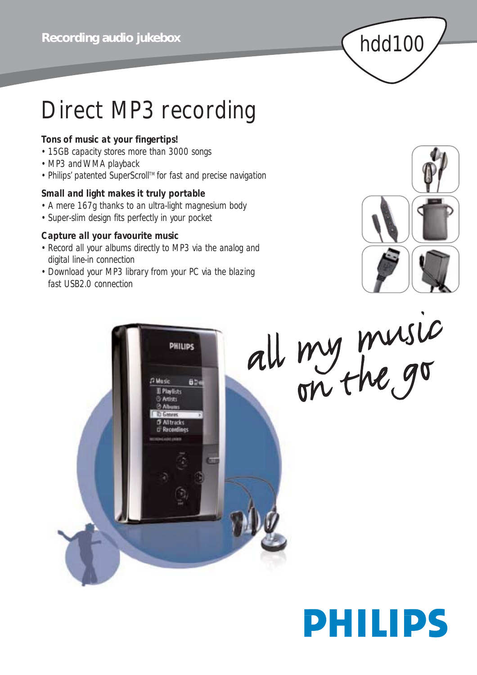

# Direct MP3 recording

## *Tons of music at your fingertips!*

- *• 15GB capacity stores more than 3000 songs*
- *• MP3 and WMA playback*
- *• Philips' patented SuperScrollTM for fast and precise navigation*

## *Small and light makes it truly portable*

- *A mere 167g thanks to an ultra-light magnesium body*
- *• Super-slim design fits perfectly in your pocket*

## *Capture all your favourite music*

- *• Record all your albums directly to MP3 via the analog and digital line-in connection*
- *Download your MP3 library from your PC via the blazing fast USB2.0 connection*